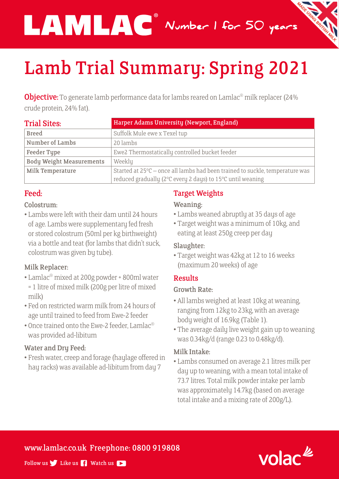Number 1 for 50 years

# Lamb Trial Summary: Spring 2021

®

**Objective:** To generate lamb performance data for lambs reared on Lamlac<sup>®</sup> milk replacer (24% crude protein, 24% fat).

| <b>Trial Sites:</b>             | Harper Adams University (Newport, England)                                                                                                 |  |
|---------------------------------|--------------------------------------------------------------------------------------------------------------------------------------------|--|
| <b>Breed</b>                    | Suffolk Mule ewe x Texel tup                                                                                                               |  |
| Number of Lambs                 | 20 lambs                                                                                                                                   |  |
| <b>Feeder Type</b>              | Ewe2 Thermostatically controlled bucket feeder                                                                                             |  |
| <b>Body Weight Measurements</b> | Weekly                                                                                                                                     |  |
| Milk Temperature                | Started at 25°C – once all lambs had been trained to suckle, temperature was<br>reduced gradually (2°C every 2 days) to 15°C until weaning |  |

## Feed:

## Colostrum:

• Lambs were left with their dam until 24 hours of age. Lambs were supplementary fed fresh or stored colostrum (50ml per kg birthweight) via a bottle and teat (for lambs that didn't suck, colostrum was given by tube).

#### Milk Replacer:

- Lamlac® mixed at 200g powder + 800ml water = 1 litre of mixed milk (200g per litre of mixed milk)
- Fed on restricted warm milk from 24 hours of age until trained to feed from Ewe-2 feeder
- Once trained onto the Ewe-2 feeder, Lamlac® was provided ad-libitum

#### Water and Dry Feed:

• Fresh water, creep and forage (haylage offered in hay racks) was available ad-libitum from day 7

# Target Weights

#### Weaning:

- Lambs weaned abruptly at 35 days of age
- Target weight was a minimum of 10kg, and eating at least 250g creep per day

#### Slaughter:

• Target weight was 42kg at 12 to 16 weeks (maximum 20 weeks) of age

# Results

#### Growth Rate:

- All lambs weighed at least 10kg at weaning, ranging from 12kg to 23kg, with an average body weight of 16.9kg (Table 1).
- The average daily live weight gain up to weaning was 0.34kg/d (range 0.23 to 0.48kg/d).

## Milk Intake:

• Lambs consumed on average 2.1 litres milk per day up to weaning, with a mean total intake of 73.7 litres. Total milk powder intake per lamb was approximately 14.7kg (based on average total intake and a mixing rate of 200g/L).

www.lamlac.co.uk Freephone: 0800 919808



Follow us  $\blacktriangleright$  Like us  $\blacktriangleright$  Watch us  $\blacktriangleright$